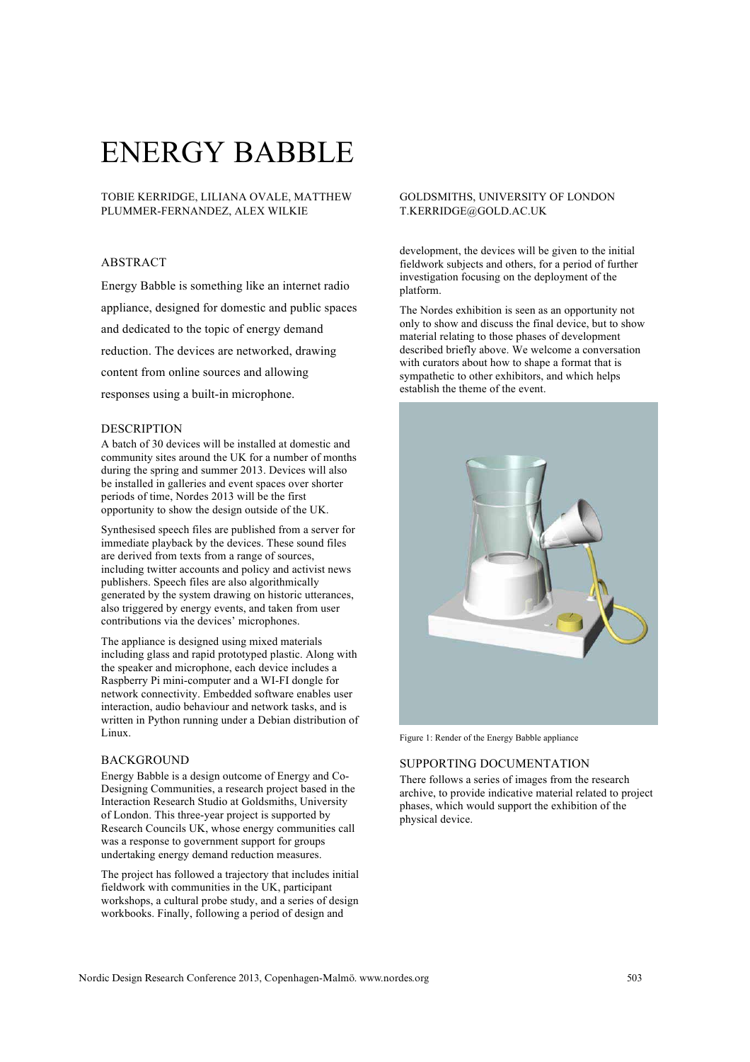# ENERGY BABBLE

TOBIE KERRIDGE, LILIANA OVALE, MATTHEW PLUMMER-FERNANDEZ, ALEX WILKIE

## ABSTRACT

Energy Babble is something like an internet radio appliance, designed for domestic and public spaces and dedicated to the topic of energy demand reduction. The devices are networked, drawing content from online sources and allowing responses using a built-in microphone.

## DESCRIPTION

A batch of 30 devices will be installed at domestic and community sites around the UK for a number of months during the spring and summer 2013. Devices will also be installed in galleries and event spaces over shorter periods of time, Nordes 2013 will be the first opportunity to show the design outside of the UK.

Synthesised speech files are published from a server for immediate playback by the devices. These sound files are derived from texts from a range of sources, including twitter accounts and policy and activist news publishers. Speech files are also algorithmically generated by the system drawing on historic utterances, also triggered by energy events, and taken from user contributions via the devices' microphones.

The appliance is designed using mixed materials including glass and rapid prototyped plastic. Along with the speaker and microphone, each device includes a Raspberry Pi mini-computer and a WI-FI dongle for network connectivity. Embedded software enables user interaction, audio behaviour and network tasks, and is written in Python running under a Debian distribution of Linux.

#### BACKGROUND

Energy Babble is a design outcome of Energy and Co-Designing Communities, a research project based in the Interaction Research Studio at Goldsmiths, University of London. This three-year project is supported by Research Councils UK, whose energy communities call was a response to government support for groups undertaking energy demand reduction measures.

The project has followed a trajectory that includes initial fieldwork with communities in the UK, participant workshops, a cultural probe study, and a series of design workbooks. Finally, following a period of design and

## GOLDSMITHS, UNIVERSITY OF LONDON T.KERRIDGE@GOLD.AC.UK

development, the devices will be given to the initial fieldwork subjects and others, for a period of further investigation focusing on the deployment of the platform.

The Nordes exhibition is seen as an opportunity not only to show and discuss the final device, but to show material relating to those phases of development described briefly above. We welcome a conversation with curators about how to shape a format that is sympathetic to other exhibitors, and which helps establish the theme of the event.



Figure 1: Render of the Energy Babble appliance

### SUPPORTING DOCUMENTATION

There follows a series of images from the research archive, to provide indicative material related to project phases, which would support the exhibition of the physical device.